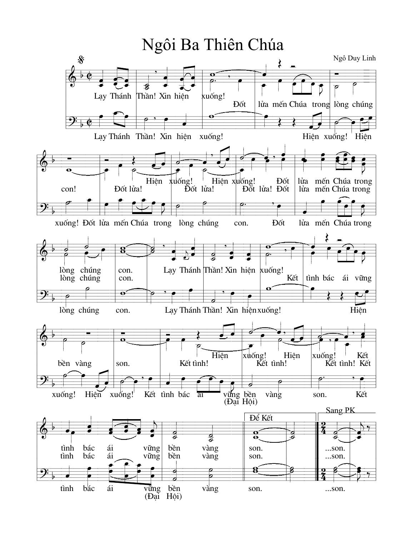